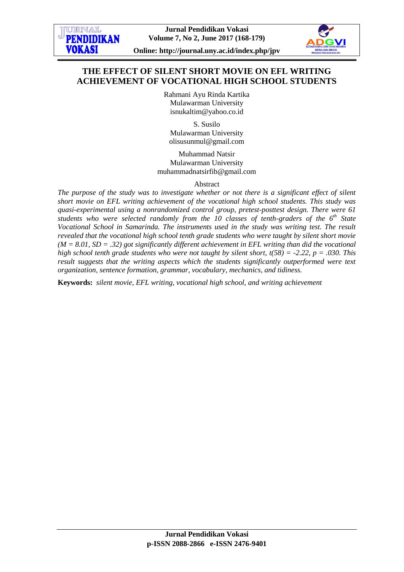

**Online: http://journal.uny.ac.id/index.php/jpv**

# **THE EFFECT OF SILENT SHORT MOVIE ON EFL WRITING ACHIEVEMENT OF VOCATIONAL HIGH SCHOOL STUDENTS**

Rahmani Ayu Rinda Kartika Mulawarman University isnukaltim@yahoo.co.id

S. Susilo Mulawarman University olisusunmul@gmail.com

Muhammad Natsir Mulawarman University muhammadnatsirfib@gmail.com

#### Abstract

*The purpose of the study was to investigate whether or not there is a significant effect of silent short movie on EFL writing achievement of the vocational high school students. This study was quasi-experimental using a nonrandomized control group, pretest-posttest design. There were 61 students who were selected randomly from the 10 classes of tenth-graders of the 6th State Vocational School in Samarinda. The instruments used in the study was writing test. The result revealed that the vocational high school tenth grade students who were taught by silent short movie (M = 8.01, SD = .32) got significantly different achievement in EFL writing than did the vocational high school tenth grade students who were not taught by silent short, t(58) = -2.22, p = .030. This result suggests that the writing aspects which the students significantly outperformed were text organization, sentence formation, grammar, vocabulary, mechanics, and tidiness.*

**Keywords:** *silent movie, EFL writing, vocational high school, and writing achievement*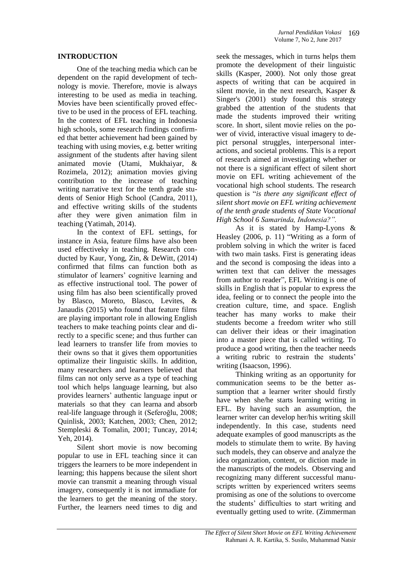### **INTRODUCTION**

One of the teaching media which can be dependent on the rapid development of technology is movie. Therefore, movie is always interesting to be used as media in teaching. Movies have been scientifically proved effective to be used in the process of EFL teaching. In the context of EFL teaching in Indonesia high schools, some research findings confirmed that better achievement had been gained by teaching with using movies, e.g. better writing assignment of the students after having silent animated movie (Utami, Mukhaiyar, & Rozimela, 2012); animation movies giving contribution to the increase of teaching writing narrative text for the tenth grade students of Senior High School (Candra, 2011), and effective writing skills of the students after they were given animation film in teaching (Yatimah, 2014).

In the context of EFL settings, for instance in Asia, feature films have also been used effectiveky in teaching. Research conducted by Kaur, Yong, Zin, & DeWitt, (2014) confirmed that films can function both as stimulator of learners' cognitive learning and as effective instructional tool. The power of using film has also been scientifically proved by Blasco, Moreto, Blasco, Levites, & Janaudis (2015) who found that feature films are playing important role in allowing English teachers to make teaching points clear and directly to a specific scene; and thus further can lead learners to transfer life from movies to their owns so that it gives them opportunities optimalize their linguistic skills. In addition, many researchers and learners believed that films can not only serve as a type of teaching tool which helps language learning, but also provides learners' authentic language input or materials so that they can learna and absorb real-life language through it (Seferoğlu, 2008; Quinlisk, 2003; Katchen, 2003; Chen, 2012; Stempleski & Tomalin, 2001; Tuncay, 2014; Yeh, 2014).

Silent short movie is now becoming popular to use in EFL teaching since it can triggers the learners to be more independent in learning; this happens because the silent short movie can transmit a meaning through visual imagery, consequently it is not immadiate for the learners to get the meaning of the story. Further, the learners need times to dig and

seek the messages, which in turns helps them promote the development of their linguistic skills (Kasper, 2000). Not only those great aspects of writing that can be acquired in silent movie, in the next research, Kasper & Singer's (2001) study found this strategy grabbed the attention of the students that made the students improved their writing score. In short, silent movie relies on the power of vivid, interactive visual imagery to depict personal struggles, interpersonal interactions, and societal problems. This is a report of research aimed at investigating whether or not there is a significant effect of silent short movie on EFL writing achievement of the vocational high school students. The research question is "*is there any significant effect of silent short movie on EFL writing achievement of the tenth grade students of State Vocational High School 6 Samarinda, Indonesia?".*

As it is stated by Hamp-Lyons & Heasley (2006, p. 11) "Writing as a form of problem solving in which the writer is faced with two main tasks. First is generating ideas and the second is composing the ideas into a written text that can deliver the messages from author to reader", EFL Writing is one of skills in English that is popular to express the idea, feeling or to connect the people into the creation culture, time, and space. English teacher has many works to make their students become a freedom writer who still can deliver their ideas or their imagination into a master piece that is called writing. To produce a good writing, then the teacher needs a writing rubric to restrain the students' writing (Isaacson, 1996).

Thinking writing as an opportunity for communication seems to be the better assumption that a learner writer should firstly have when she/he starts learning writing in EFL. By having such an assumption, the learner writer can develop her/his writing skill independently. In this case, students need adequate examples of good manuscripts as the models to stimulate them to write. By having such models, they can observe and analyze the idea organization, content, or diction made in the manuscripts of the models. Observing and recognizing many different successful manuscripts written by experienced writers seems promising as one of the solutions to overcome the students' difficulties to start writing and eventually getting used to write. (Zimmerman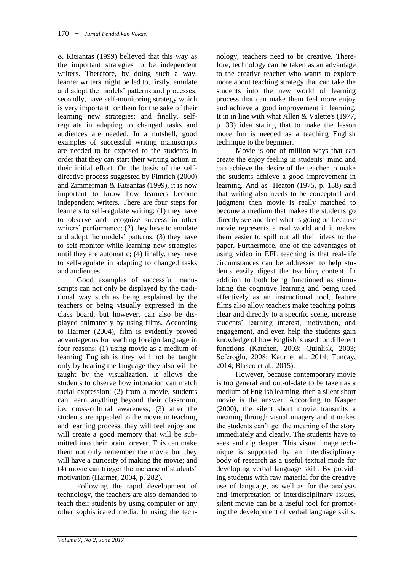& Kitsantas (1999) believed that this way as the important strategies to be independent writers. Therefore, by doing such a way, learner writers might be led to, firstly, emulate and adopt the models' patterns and processes; secondly, have self-monitoring strategy which is very important for them for the sake of their learning new strategies; and finally, selfregulate in adapting to changed tasks and audiences are needed. In a nutshell, good examples of successful writing manuscripts are needed to be exposed to the students in order that they can start their writing action in their initial effort. On the basis of the selfdirective process suggested by Pintrich (2000) and Zimmerman & Kitsantas (1999), it is now important to know how learners become independent writers. There are four steps for learners to self-regulate writing: (1) they have to observe and recognize success in other writers' performance; (2) they have to emulate and adopt the models' patterns; (3) they have to self-monitor while learning new strategies until they are automatic; (4) finally, they have to self-regulate in adapting to changed tasks and audiences.

Good examples of successful manuscripts can not only be displayed by the traditional way such as being explained by the teachers or being visually expressed in the class board, but however, can also be displayed animatedly by using films. According to Harmer (2004), film is evidently proved advantageous for teaching foreign language in four reasons: (1) using movie as a medium of learning English is they will not be taught only by hearing the language they also will be taught by the visualization. It allows the students to observe how intonation can match facial expression; (2) from a movie, students can learn anything beyond their classroom, i.e. cross-cultural awareness; (3) after the students are appealed to the movie in teaching and learning process, they will feel enjoy and will create a good memory that will be submitted into their brain forever. This can make them not only remember the movie but they will have a curiosity of making the movie; and (4) movie can trigger the increase of students' motivation (Harmer, 2004, p. 282).

Following the rapid development of technology, the teachers are also demanded to teach their students by using computer or any other sophisticated media. In using the technology, teachers need to be creative. Therefore, technology can be taken as an advantage to the creative teacher who wants to explore more about teaching strategy that can take the students into the new world of learning process that can make them feel more enjoy and achieve a good improvement in learning. It in in line with what Allen & Valette's (1977, p. 33) idea stating that to make the lesson more fun is needed as a teaching English technique to the beginner.

Movie is one of million ways that can create the enjoy feeling in students' mind and can achieve the desire of the teacher to make the students achieve a good improvement in learning. And as Heaton (1975, p. 138) said that writing also needs to be conceptual and judgment then movie is really matched to become a medium that makes the students go directly see and feel what is going on because movie represents a real world and it makes them easier to spill out all their ideas to the paper. Furthermore, one of the advantages of using video in EFL teaching is that real-life circumstances can be addressed to help students easily digest the teaching content. In addition to both being functioned as stimulating the cognitive learning and being used effectively as an instructional tool, feature films also allow teachers make teaching points clear and directly to a specific scene, increase students' learning interest, motivation, and engagement, and even help the students gain knowledge of how English is used for different functions (Katchen, 2003; Quinlisk, 2003; Seferoğlu, 2008; Kaur et al., 2014; Tuncay, 2014; Blasco et al., 2015).

However, because contemporary movie is too general and out-of-date to be taken as a medium of English learning, then a silent short movie is the answer. According to Kasper (2000), the silent short movie transmits a meaning through visual imagery and it makes the students can't get the meaning of the story immediately and clearly. The students have to seek and dig deeper. This visual image technique is supported by an interdisciplinary body of research as a useful textual mode for developing verbal language skill. By providing students with raw material for the creative use of language, as well as for the analysis and interpretation of interdisciplinary issues, silent movie can be a useful tool for promoting the development of verbal language skills.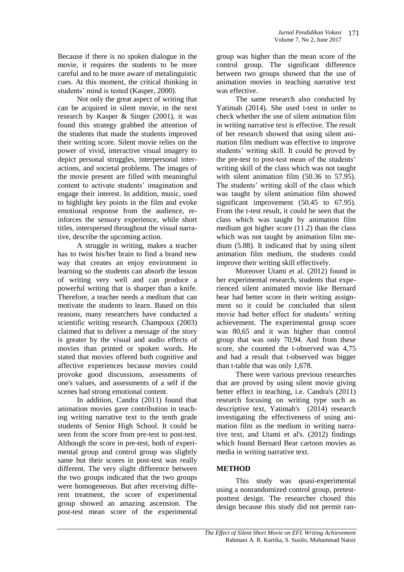Because if there is no spoken dialogue in the movie, it requires the students to be more careful and to be more aware of metalinguistic cues. At this moment, the critical thinking in students' mind is tested (Kasper, 2000).

Not only the great aspect of writing that can be acquired in silent movie, in the next research by Kasper & Singer (2001), it was found this strategy grabbed the attention of the students that made the students improved their writing score. Silent movie relies on the power of vivid, interactive visual imagery to depict personal struggles, interpersonal interactions, and societal problems. The images of the movie present are filled with meaningful content to activate students' imagination and engage their interest. In addition, music, used to highlight key points in the film and evoke emotional response from the audience, reinforces the sensory experience, while short titles, interspersed throughout the visual narrative, describe the upcoming action.

A struggle in writing, makes a teacher has to twist his/her brain to find a brand new way that creates an enjoy environment in learning so the students can absorb the lesson of writing very well and can produce a powerful writing that is sharper than a knife. Therefore, a teacher needs a medium that can motivate the students to learn. Based on this reasons, many researchers have conducted a scientific writing research. Champoux (2003) claimed that to deliver a message of the story is greater by the visual and audio effects of movies than printed or spoken words. He stated that movies offered both cognitive and affective experiences because movies could provoke good discussions, assessments of one's values, and assessments of a self if the scenes had strong emotional content.

In addition, Candra (2011) found that animation movies gave contribution in teaching writing narrative text to the tenth grade students of Senior High School. It could be seen from the score from pre-test to post-test. Although the score in pre-test, both of experimental group and control group was slightly same but their scores in post-test was really different. The very slight difference between the two groups indicated that the two groups were homogeneous. But after receiving different treatment, the score of experimental group showed an amazing ascension. The post-test mean score of the experimental

group was higher than the mean score of the control group. The significant difference between two groups showed that the use of animation movies in teaching narrative text was effective.

The same research also conducted by Yatimah (2014). She used t-test in order to check whether the use of silent animation film in writing narrative text is effective. The result of her research showed that using silent animation film medium was effective to improve students' writing skill. It could be proved by the pre-test to post-test mean of the students' writing skill of the class which was not taught with silent animation film (50.36 to 57.95). The students' writing skill of the class which was taught by silent animation film showed significant improvement (50.45 to 67.95). From the t-test result, it could be seen that the class which was taught by animation film medium got higher score (11.2) than the class which was not taught by animation film medium (5.88). It indicated that by using silent animation film medium, the students could improve their writing skill effectively.

Moreover Utami et al. (2012) found in her experimental research, students that experienced silent animated movie like Bernard bear had better score in their writing assignment so it could be concluded that silent movie had better effect for students' writing achievement. The experimental group score was 80,65 and it was higher than control group that was only 70,94. And from these score, she counted the t-observed was 4,75 and had a result that t-observed was bigger than t-table that was only 1,678.

There were various previous researches that are proved by using silent movie giving better effect in teaching, i.e. Candra's (2011) research focusing on writing type such as descriptive text, Yatimah's (2014) research investigating the effectiveness of using animation film as the medium in writing narrative text, and Utami et al's. (2012) findings which found Bernard Bear cartoon movies as media in writing narrative text.

# **METHOD**

This study was quasi-experimental using a nonrandomized control group, pretestposttest design. The researcher chosed this design because this study did not permit ran-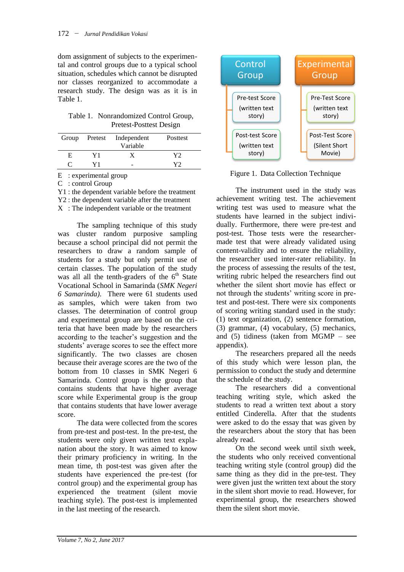dom assignment of subjects to the experimental and control groups due to a typical school situation, schedules which cannot be disrupted nor classes reorganized to accommodate a research study. The design was as it is in Table 1.

Table 1. Nonrandomized Control Group, Pretest-Posttest Design

|    |    | Group Pretest Independent<br>Variable | Posttest |
|----|----|---------------------------------------|----------|
| F. | Y1 |                                       | Y2       |
| C  | V1 |                                       | vາ       |

E : experimental group

C : control Group

Y1 : the dependent variable before the treatment

Y2 : the dependent variable after the treatment

X : The independent variable or the treatment

The sampling technique of this study was cluster random purposive sampling because a school principal did not permit the researchers to draw a random sample of students for a study but only permit use of certain classes. The population of the study was all all the tenth-graders of the  $6<sup>th</sup>$  State Vocational School in Samarinda (*SMK Negeri 6 Samarinda)*. There were 61 students used as samples, which were taken from two classes. The determination of control group and experimental group are based on the criteria that have been made by the researchers according to the teacher's suggestion and the students' average scores to see the effect more significantly. The two classes are chosen because their average scores are the two of the bottom from 10 classes in SMK Negeri 6 Samarinda. Control group is the group that contains students that have higher average score while Experimental group is the group that contains students that have lower average score.

The data were collected from the scores from pre-test and post-test. In the pre-test, the students were only given written text explanation about the story. It was aimed to know their primary proficiency in writing. In the mean time, th post-test was given after the students have experienced the pre-test (for control group) and the experimental group has experienced the treatment (silent movie teaching style). The post-test is implemented in the last meeting of the research.



Figure 1. Data Collection Technique

The instrument used in the study was achievement writing test. The achievement writing test was used to measure what the students have learned in the subject individually. Furthermore, there were pre-test and post-test. Those tests were the researchermade test that were already validated using content-validity and to ensure the reliability, the researcher used inter-rater reliability. In the process of assessing the results of the test, writing rubric helped the researchers find out whether the silent short movie has effect or not through the students' writing score in pretest and post-test. There were six components of scoring writing standard used in the study: (1) text organization, (2) sentence formation, (3) grammar, (4) vocabulary, (5) mechanics, and (5) tidiness (taken from MGMP – see appendix).

The researchers prepared all the needs of this study which were lesson plan, the permission to conduct the study and determine the schedule of the study.

The researchers did a conventional teaching writing style, which asked the students to read a written text about a story entitled Cinderella. After that the students were asked to do the essay that was given by the researchers about the story that has been already read.

On the second week until sixth week, the students who only received conventional teaching writing style (control group) did the same thing as they did in the pre-test. They were given just the written text about the story in the silent short movie to read. However, for experimental group, the researchers showed them the silent short movie.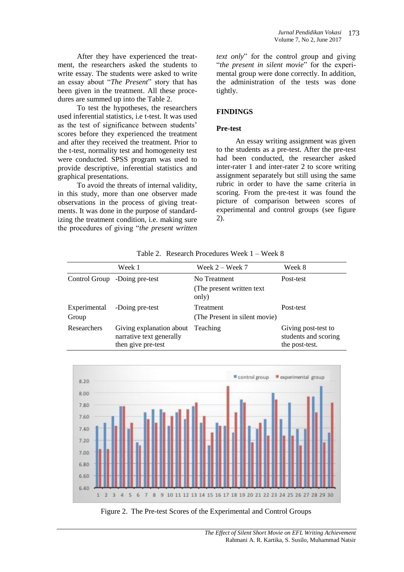After they have experienced the treatment, the researchers asked the students to write essay. The students were asked to write an essay about "*The Present*" story that has been given in the treatment. All these procedures are summed up into the Table 2.

To test the hypotheses, the researchers used inferential statistics, i.e t-test. It was used as the test of significance between students' scores before they experienced the treatment and after they received the treatment. Prior to the t-test, normality test and homogeneity test were conducted. SPSS program was used to provide descriptive, inferential statistics and graphical presentations.

To avoid the threats of internal validity, in this study, more than one observer made observations in the process of giving treatments. It was done in the purpose of standardizing the treatment condition, i.e. making sure the procedures of giving "*the present written*  *text only*" for the control group and giving "*the present in silent movie*" for the experimental group were done correctly. In addition, the administration of the tests was done tightly.

### **FINDINGS**

#### **Pre-test**

An essay writing assignment was given to the students as a pre-test. After the pre-test had been conducted, the researcher asked inter-rater 1 and inter-rater 2 to score writing assignment separately but still using the same rubric in order to have the same criteria in scoring. From the pre-test it was found the picture of comparison between scores of experimental and control groups (see figure 2).

|                       | Week 1                                                                              | Week $2 -$ Week $7$                                 | Week 8                                                        |
|-----------------------|-------------------------------------------------------------------------------------|-----------------------------------------------------|---------------------------------------------------------------|
|                       | Control Group -Doing pre-test                                                       | No Treatment<br>(The present written text)<br>only) | Post-test                                                     |
| Experimental<br>Group | -Doing pre-test                                                                     | Treatment<br>(The Present in silent movie)          | Post-test                                                     |
| Researchers           | Giving explanation about Teaching<br>narrative text generally<br>then give pre-test |                                                     | Giving post-test to<br>students and scoring<br>the post-test. |

Table 2. Research Procedures Week 1 – Week 8



Figure 2. The Pre-test Scores of the Experimental and Control Groups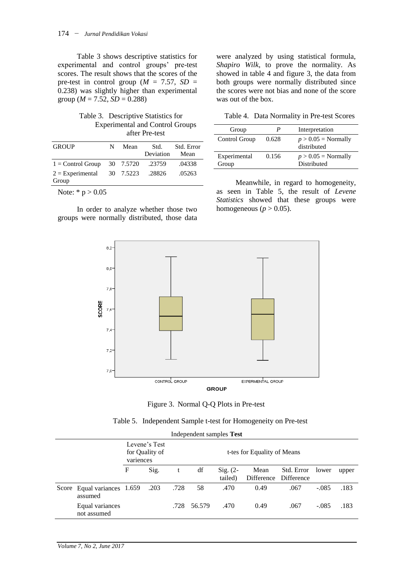Table 3 shows descriptive statistics for experimental and control groups' pre-test scores. The result shows that the scores of the pre-test in control group ( $M = 7.57$ ,  $SD =$ 0.238) was slightly higher than experimental group ( $M = 7.52$ ,  $SD = 0.288$ )

| Table 3. Descriptive Statistics for    |
|----------------------------------------|
| <b>Experimental and Control Groups</b> |
| after Pre-test                         |

| <b>GROUP</b>                  | N | Mean | Std.             | Std. Error |
|-------------------------------|---|------|------------------|------------|
|                               |   |      | <b>Deviation</b> | Mean       |
| $1 =$ Control Group 30 7.5720 |   |      | .23759           | .04338     |
| $2 =$ Experimental 30 7.5223  |   |      | .28826           | .05263     |
| Group                         |   |      |                  |            |

Note:  $*$  p > 0.05

In order to analyze whether those two groups were normally distributed, those data

were analyzed by using statistical formula, *Shapiro Wilk*, to prove the normality. As showed in table 4 and figure 3, the data from both groups were normally distributed since the scores were not bias and none of the score was out of the box.

Table 4. Data Normality in Pre-test Scores

| Group                 | P     | Interpretation                       |
|-----------------------|-------|--------------------------------------|
| Control Group         | 0.628 | $p > 0.05$ = Normally<br>distributed |
| Experimental<br>Group | 0.156 | $p > 0.05$ = Normally<br>Distributed |

Meanwhile, in regard to homogeneity, as seen in Table 5, the result of *Levene Statistics* showed that these groups were homogeneous ( $p > 0.05$ ).



Figure 3. Normal Q-Q Plots in Pre-test

|  | Table 5. Independent Sample t-test for Homogeneity on Pre-test |  |  |
|--|----------------------------------------------------------------|--|--|
|  |                                                                |  |  |

| Independent samples Test |  |
|--------------------------|--|
|--------------------------|--|

|                                        | Levene's Test<br>for Quality of<br>variences |      |      |        |                       | t-tes for Equality of Means |                                     |         |       |
|----------------------------------------|----------------------------------------------|------|------|--------|-----------------------|-----------------------------|-------------------------------------|---------|-------|
|                                        | F                                            | Sig. | t    | df     | $Sig. (2-$<br>tailed) | Mean                        | Std. Error<br>Difference Difference | lower   | upper |
| Score Equal variances 1.659<br>assumed |                                              | .203 | .728 | 58     | .470                  | 0.49                        | .067                                | $-.085$ | .183  |
| Equal variances<br>not assumed         |                                              |      | .728 | 56.579 | .470                  | 0.49                        | .067                                | $-.085$ | .183  |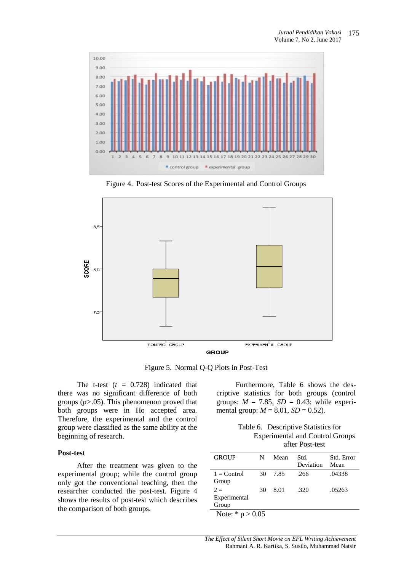

Figure 4. Post-test Scores of the Experimental and Control Groups



Figure 5. Normal Q-Q Plots in Post-Test

The t-test  $(t = 0.728)$  indicated that there was no significant difference of both groups (*p>*.05). This phenomenon proved that both groups were in Ho accepted area. Therefore, the experimental and the control group were classified as the same ability at the beginning of research.

#### **Post-test**

After the treatment was given to the experimental group; while the control group only got the conventional teaching, then the researcher conducted the post-test. Figure 4 shows the results of post-test which describes the comparison of both groups.

Furthermore, Table 6 shows the descriptive statistics for both groups (control groups:  $M = 7.85$ ,  $SD = 0.43$ ; while experimental group:  $M = 8.01$ ,  $SD = 0.52$ ).

| Table 6. Descriptive Statistics for    |
|----------------------------------------|
| <b>Experimental and Control Groups</b> |
| after Post-test                        |

| <b>GROUP</b>       | N  | Mean | Std.      | Std. Error |  |
|--------------------|----|------|-----------|------------|--|
|                    |    |      | Deviation | Mean       |  |
| $1 =$ Control      | 30 | 7.85 | .266      | .04338     |  |
| Group              |    |      |           |            |  |
| $2 =$              | 30 | 8.01 | .320      | .05263     |  |
| Experimental       |    |      |           |            |  |
| Group              |    |      |           |            |  |
| Note: $* p > 0.05$ |    |      |           |            |  |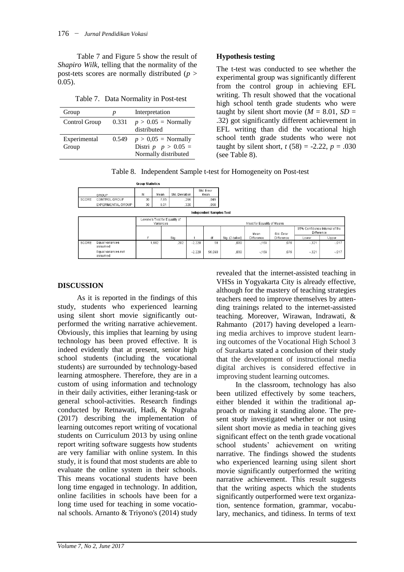Table 7 and Figure 5 show the result of *Shapiro Wilk*, telling that the normality of the post-tets scores are normally distributed (*p* > 0.05).

|               |       | raore :. Dans rormancy in Foot tool  |
|---------------|-------|--------------------------------------|
| Group         | D     | Interpretation                       |
| Control Group | 0.331 | $p > 0.05$ = Normally<br>distributed |

Table 7. Data Normality in Post-test

| Control Group | 0.331 | $p > 0.05$ = Normally<br>distributed |
|---------------|-------|--------------------------------------|
| Experimental  | 0.549 | $p > 0.05$ = Normally                |
| Group         |       | Distri $p$ $p > 0.05$ =              |
|               |       | Normally distributed                 |

### **Hypothesis testing**

The t-test was conducted to see whether the experimental group was significantly different from the control group in achieving EFL writing. Th result showed that the vocational high school tenth grade students who were taught by silent short movie ( $M = 8.01$ ,  $SD =$ .32) got significantly different achievement in EFL writing than did the vocational high school tenth grade students who were not taught by silent short,  $t(58) = -2.22$ ,  $p = .030$ (see Table 8).



| <b>Group Statistics</b>         |                                |                                            |      |                |          |                              |                 |            |            |                                              |        |
|---------------------------------|--------------------------------|--------------------------------------------|------|----------------|----------|------------------------------|-----------------|------------|------------|----------------------------------------------|--------|
|                                 | GROUP                          | N                                          | Mean | Std. Deviation |          | Std. Error<br>Mean           |                 |            |            |                                              |        |
| SCORE                           | CONTROL GROUP                  | 30                                         | 7,85 |                | .266     | .049                         |                 |            |            |                                              |        |
|                                 | EXPERIMENTAL GROUP             | 30                                         | 8,01 |                | .320     | .058                         |                 |            |            |                                              |        |
| <b>Independent Samples Test</b> |                                |                                            |      |                |          |                              |                 |            |            |                                              |        |
|                                 |                                | Levene's Test for Equality of<br>Variances |      |                |          | t-test for Equality of Means |                 |            |            |                                              |        |
|                                 |                                |                                            |      |                |          |                              |                 | Mean       | Std. Error | 95% Confidence Interval of the<br>Difference |        |
|                                 |                                |                                            |      | Sig.           |          | df                           | Sig. (2-tailed) | Difference | Difference | Lower                                        | Upper  |
| SCORE                           | Equal variances<br>assumed     |                                            | .662 | .202           | $-2,220$ | 58                           | .030            | $-169$     | .076       | $-321$                                       | $-017$ |
|                                 | Equal variances not<br>assumed |                                            |      |                | $-2.220$ | 56,090                       | .030            | $-169$     | .076       | $-321$                                       | $-017$ |

## **DISCUSSION**

As it is reported in the findings of this study, students who experienced learning using silent short movie significantly outperformed the writing narrative achievement. Obviously, this implies that learning by using technology has been proved effective. It is indeed evidently that at present, senior high school students (including the vocational students) are surrounded by technology-based learning atmosphere. Therefore, they are in a custom of using information and technology in their daily activities, either leraning-task or general school-activities. Research findings conducted by Retnawati, Hadi, & Nugraha (2017) describing the implementation of learning outcomes report writing of vocational students on Curriculum 2013 by using online report writing software suggests how students are very familiar with online system. In this study, it is found that most students are able to evaluate the online system in their schools. This means vocational students have been long time engaged in technology. In addition, online facilities in schools have been for a long time used for teaching in some vocational schools. Arnanto & Triyono's (2014) study

revealed that the internet-assisted teaching in VHSs in Yogyakarta City is already effective, although for the mastery of teaching strategies teachers need to improve themselves by attending trainings related to the internet-assisted teaching. Moreover, Wirawan, Indrawati, & Rahmanto (2017) having developed a learning media archives to improve student learning outcomes of the Vocational High School 3 of Surakarta stated a conclusion of their study that the development of instructional media digital archives is considered effective in improving student learning outcomes.

In the classroom, technology has also been utilized effectively by some teachers, either blended it within the traditional approach or making it standing alone. The present study investigated whether or not using silent short movie as media in teaching gives significant effect on the tenth grade vocational school students' achievement on writing narrative. The findings showed the students who experienced learning using silent short movie significantly outperformed the writing narrative achievement. This result suggests that the writing aspects which the students significantly outperformed were text organization, sentence formation, grammar, vocabulary, mechanics, and tidiness. In terms of text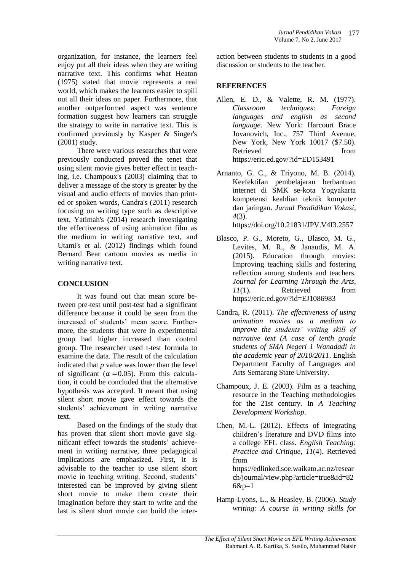organization, for instance, the learners feel enjoy put all their ideas when they are writing narrative text. This confirms what Heaton (1975) stated that movie represents a real world, which makes the learners easier to spill out all their ideas on paper. Furthermore, that another outperformed aspect was sentence formation suggest how learners can struggle the strategy to write in narrative text. This is confirmed previously by Kasper & Singer's (2001) study.

There were various researches that were previously conducted proved the tenet that using silent movie gives better effect in teaching, i.e. Champoux's (2003) claiming that to deliver a message of the story is greater by the visual and audio effects of movies than printed or spoken words, Candra's (2011) research focusing on writing type such as descriptive text, Yatimah's (2014) research investigating the effectiveness of using animation film as the medium in writing narrative text, and Utami's et al. (2012) findings which found Bernard Bear cartoon movies as media in writing narrative text.

### **CONCLUSION**

It was found out that mean score between pre-test until post-test had a significant difference because it could be seen from the increased of students' mean score. Furthermore, the students that were in experimental group had higher increased than control group. The researcher used t-test formula to examine the data. The result of the calculation indicated that *p* value was lower than the level of significant ( $\alpha = 0.05$ ). From this calculation, it could be concluded that the alternative hypothesis was accepted. It meant that using silent short movie gave effect towards the students' achievement in writing narrative text.

Based on the findings of the study that has proven that silent short movie gave significant effect towards the students' achievement in writing narrative, three pedagogical implications are emphasized. First, it is advisable to the teacher to use silent short movie in teaching writing. Second, students' interested can be improved by giving silent short movie to make them create their imagination before they start to write and the last is silent short movie can build the interaction between students to students in a good discussion or students to the teacher.

## **REFERENCES**

- Allen, E. D., & Valette, R. M. (1977). *Classroom techniques: Foreign languages and english as second language*. New York: Harcourt Brace Jovanovich, Inc., 757 Third Avenue, New York, New York 10017 (\$7.50). Retrieved from https://eric.ed.gov/?id=ED153491
- Arnanto, G. C., & Triyono, M. B. (2014). Keefektifan pembelajaran berbantuan internet di SMK se-kota Yogyakarta kompetensi keahlian teknik komputer dan jaringan. *Jurnal Pendidikan Vokasi*, *4*(3). https://doi.org/10.21831/JPV.V4I3.2557
- Blasco, P. G., Moreto, G., Blasco, M. G., Levites, M. R., & Janaudis, M. A. (2015). Education through movies: Improving teaching skills and fostering reflection among students and teachers. *Journal for Learning Through the Arts*, *11*(1). Retrieved from https://eric.ed.gov/?id=EJ1086983
- Candra, R. (2011). *The effectiveness of using animation movies as a medium to improve the students' writing skill of narrative text (A case of tenth grade students of SMA Negeri 1 Wanadadi in the academic year of 2010/2011*. English Department Faculty of Languages and Arts Semarang State University.
- Champoux, J. E. (2003). Film as a teaching resource in the Teaching methodologies for the 21st century. In *A Teaching Development Workshop*.
- Chen, M.-L. (2012). Effects of integrating children's literature and DVD films into a college EFL class. *English Teaching: Practice and Critique*, *11*(4). Retrieved from https://edlinked.soe.waikato.ac.nz/resear ch/journal/view.php?article=true&id=82 6&p=1
- Hamp-Lyons, L., & Heasley, B. (2006). *Study writing: A course in writing skills for*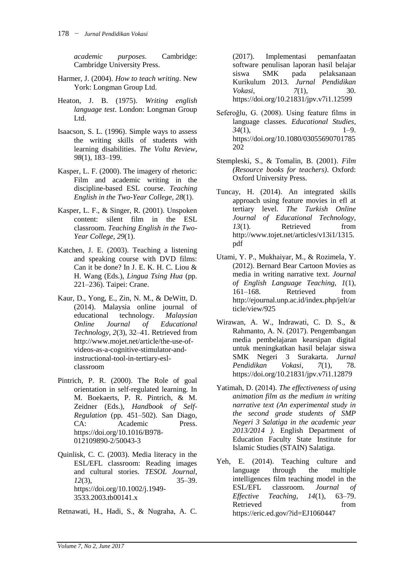*academic purposes*. Cambridge: Cambridge University Press.

- Harmer, J. (2004). *How to teach writing*. New York: Longman Group Ltd.
- Heaton, J. B. (1975). *Writing english language test*. London: Longman Group Ltd.
- Isaacson, S. L. (1996). Simple ways to assess the writing skills of students with learning disabilities. *The Volta Review*, *98*(1), 183–199.
- Kasper, L. F. (2000). The imagery of rhetoric: Film and academic writing in the discipline-based ESL course. *Teaching English in the Two-Year College*, *28*(1).
- Kasper, L. F., & Singer, R. (2001). Unspoken content: silent film in the ESL classroom. *Teaching English in the Two-Year College*, *29*(1).
- Katchen, J. E. (2003). Teaching a listening and speaking course with DVD films: Can it be done? In J. E. K. H. C. Liou & H. Wang (Eds.), *Lingua Tsing Hua* (pp. 221–236). Taipei: Crane.
- Kaur, D., Yong, E., Zin, N. M., & DeWitt, D. (2014). Malaysia online journal of educational technology. *Malaysian Online Journal of Educational Technology*, *2*(3), 32–41. Retrieved from http://www.mojet.net/article/the-use-ofvideos-as-a-cognitive-stimulator-andinstructional-tool-in-tertiary-eslclassroom
- Pintrich, P. R. (2000). The Role of goal orientation in self-regulated learning. In M. Boekaerts, P. R. Pintrich, & M. Zeidner (Eds.), *Handbook of Self-Regulation* (pp. 451–502). San Diago, CA: Academic Press. https://doi.org/10.1016/B978- 012109890-2/50043-3
- Quinlisk, C. C. (2003). Media literacy in the ESL/EFL classroom: Reading images and cultural stories. *TESOL Journal*, *12*(3), 35–39. https://doi.org/10.1002/j.1949- 3533.2003.tb00141.x

Retnawati, H., Hadi, S., & Nugraha, A. C.

(2017). Implementasi pemanfaatan software penulisan laporan hasil belajar siswa SMK pada pelaksanaan Kurikulum 2013. *Jurnal Pendidikan Vokasi*, *7*(1), 30. https://doi.org/10.21831/jpv.v7i1.12599

- Seferoğlu, G. (2008). Using feature films in language classes. *Educational Studies*, *34*(1), 1–9. https://doi.org/10.1080/03055690701785 202
- Stempleski, S., & Tomalin, B. (2001). *Film (Resource books for teachers)*. Oxford: Oxford University Press.
- Tuncay, H. (2014). An integrated skills approach using feature movies in efl at tertiary level. *The Turkish Online Journal of Educational Technology*, *13*(1). Retrieved from http://www.tojet.net/articles/v13i1/1315. pdf
- Utami, Y. P., Mukhaiyar, M., & Rozimela, Y. (2012). Bernard Bear Cartoon Movies as media in writing narrative text. *Journal of English Language Teaching*, *1*(1), 161–168. Retrieved from http://ejournal.unp.ac.id/index.php/jelt/ar ticle/view/925
- Wirawan, A. W., Indrawati, C. D. S., & Rahmanto, A. N. (2017). Pengembangan media pembelajaran kearsipan digital untuk meningkatkan hasil belajar siswa SMK Negeri 3 Surakarta. *Jurnal Pendidikan Vokasi*, *7*(1), 78. https://doi.org/10.21831/jpv.v7i1.12879
- Yatimah, D. (2014). *The effectiveness of using animation film as the medium in writing narrative text (An experimental study in the second grade students of SMP Negeri 3 Salatiga in the academic year 2013/2014 )*. English Department of Education Faculty State Institute for Islamic Studies (STAIN) Salatiga.
- Yeh, E. (2014). Teaching culture and language through the multiple intelligences film teaching model in the ESL/EFL classroom. *Journal of Effective Teaching*, *14*(1), 63–79. Retrieved from https://eric.ed.gov/?id=EJ1060447